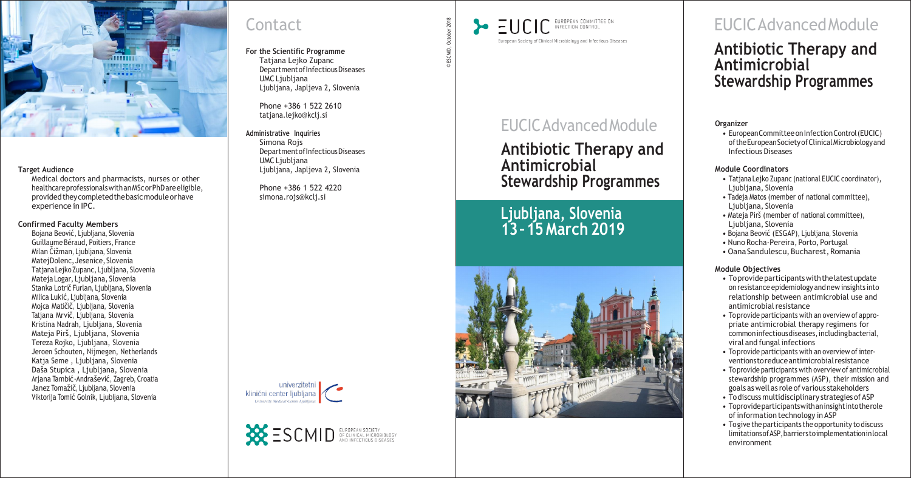

#### **Target Audience**

Medical doctors and pharmacists, nurses or other healthcareprofessionalswithanMScorPhDareeligible, providedtheycompletedthebasicmoduleorhave experience in IPC.

#### **Confirmed Faculty Members**

Bojana Beović, Ljubljana, Slovenia Guillaume Béraud, Poitiers, France<br>Milan Cižman, Ljubljana, Slovenia MatejDolenc, Jesenice, Slovenia TatjanaLejkoZupanc, Ljubljana, Slovenia Mateja Logar, Ljubljana, Slovenia Stanka Lotrič Furlan, Ljubljana, Slovenia Milica Lukić, Ljubljana, Slovenia Mojca Matičič, Ljubljana, Slovenia Tatjana Mrvič, Ljubljana, Slovenia Kristina Nadrah, Ljubljana, Slovenia Mateja Pirš, Ljubljana, Slovenia Tereza Rojko, Ljubljana, Slovenia Jeroen Schouten, Nijmegen, Netherlands Katja Seme , Ljubljana, Slovenia Daša Stupica , Ljubljana, Slovenia Arjana Tambić - Andrašević , Zagreb, Croatia Janez Tomažič, Ljubljana, Slovenia Viktorija Tomić Golnik, Ljubljana, Slovenia

# **Contact**

• European Committee on Infection Control (EUCIC) oftheEuropeanSocietyofClinicalMicrobiologyand Infectious Diseases

- Tatjana Lejko Zupanc (national EUCIC coordinator), Ljubljana, Slovenia
- Tadeja Matos (member of national committee), Ljubljana, Slovenia
- Mateja Pirš (member of national committee), Ljubljana, Slovenia
- Bojana Beović (ESGAP), Ljubljana, Slovenia
- Nuno Rocha -Pereira, Porto, Portugal
- Oana Sandulescu, Bucharest, Romania

**For the Scientific Programme** Tatjana Lejko Zupanc Department of Infectious Diseases UMC Ljubljana Ljubljana, Japljeva 2, Slovenia

> Phone +386 1 522 2610 [tatjana.lejko@kclj.si](mailto:tatjana.lejko@kclj.si)

**Administrative Inquiries** Simona Rojs DepartmentofInfectiousDiseases UMC Liubliana Ljubljana, Japljeva 2, Slovenia

> Phone +386 1 522 4220 [simona.rojs@kclj.si](mailto:simona.rojs@kclj.si)





# EUCICAdvancedModule

- To provide participants with the latest update on resistance epidemiology andnew insights into relationship between antimicrobial use and antimicrobial resistance
- To provide participants with an overview of appro priate antimicrobial therapy regimens for commoninfectiousdiseases,includingbacterial, viral and fungal infections
- To provide participants with an overview of inter ventionstoreduceantimicrobialresistance
- Toprovide participants with overview of antimicrobial stewardship programmes (ASP), their mission and goals as well as role of various stakeholders
- To discuss multidisciplinary strategies of ASP
- Toprovideparticipantswithaninsightintotherole of information technology in ASP
- To give the participants the opportunity to discuss limitationsofASP,barrierstoimplementationinlocal environment

2018 ESCMID, October 2018October ESCMID, ©

EUROPEAN COMMITTEE ON  $=$ UCIC INFECTION CONTROL European Society of Clinical Microbiology and Infectious Diseases

## **Antibiotic Therapy and Antimicrobial Stewardship Programmes**

**Ljubljana, Slovenia 13 –15 March 2019**



# EUCICAdvancedModule

## **Antibiotic Therapy and Antimicrobial Stewardship Programmes**

### **Organizer**

### **Module Coordinators**

### **Module Objectives**